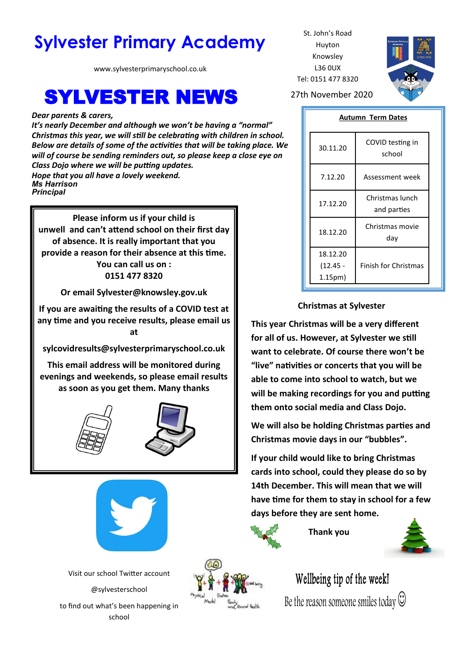# **Sylvester Primary Academy** St. John's Road

www.sylvesterprimaryschool.co.uk

# **SYLVESTER NEWS** 27th November 2020

*Dear parents & carers,*

*It's nearly December and although we won't be having a "normal" Christmas this year, we will still be celebrating with children in school. Below are details of some of the activities that will be taking place. We will of course be sending reminders out, so please keep a close eye on Class Dojo where we will be putting updates. Hope that you all have a lovely weekend. Ms Harrison Principal*

**Please inform us if your child is unwell and can't attend school on their first day of absence. It is really important that you provide a reason for their absence at this time. You can call us on : 0151 477 8320**

**Or email Sylvester@knowsley.gov.uk**

**If you are awaiting the results of a COVID test at any time and you receive results, please email us at** 

**sylcovidresults@sylvesterprimaryschool.co.uk**

**This email address will be monitored during evenings and weekends, so please email results as soon as you get them. Many thanks**







Visit our school Twitter account @sylvesterschool to find out what's been happening in school



Huyton Knowsley L36 0UX Tel: 0151 477 8320



**Autumn Term Dates**

| 30.11.20                                   | COVID testing in<br>school     |
|--------------------------------------------|--------------------------------|
| 7.12.20                                    | Assessment week                |
| 17.12.20                                   | Christmas lunch<br>and parties |
| 18.12.20                                   | Christmas movie<br>day         |
| 18.12.20<br>(12.45 -<br>1.15 <sub>pm</sub> | <b>Finish for Christmas</b>    |

### **Christmas at Sylvester**

**This year Christmas will be a very different for all of us. However, at Sylvester we still want to celebrate. Of course there won't be "live" nativities or concerts that you will be able to come into school to watch, but we will be making recordings for you and putting them onto social media and Class Dojo.** 

**We will also be holding Christmas parties and Christmas movie days in our "bubbles".**

**If your child would like to bring Christmas cards into school, could they please do so by 14th December. This will mean that we will have time for them to stay in school for a few days before they are sent home.**



 **Thank you**



Wellbeing tip of the week! Be the reason someone smiles today  $\heartsuit$